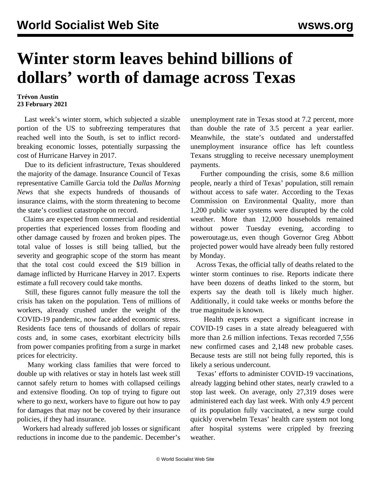## **Winter storm leaves behind billions of dollars' worth of damage across Texas**

## **Trévon Austin 23 February 2021**

 Last week's winter storm, which subjected a sizable portion of the US to subfreezing temperatures that reached well into the South, is set to inflict recordbreaking economic losses, potentially surpassing the cost of Hurricane Harvey in 2017.

 Due to its deficient infrastructure, Texas shouldered the majority of the damage. Insurance Council of Texas representative Camille Garcia told the *Dallas Morning News* that she expects hundreds of thousands of insurance claims, with the storm threatening to become the state's costliest catastrophe on record.

 Claims are expected from commercial and residential properties that experienced losses from flooding and other damage caused by frozen and broken pipes. The total value of losses is still being tallied, but the severity and geographic scope of the storm has meant that the total cost could exceed the \$19 billion in damage inflicted by Hurricane Harvey in 2017. Experts estimate a full recovery could take months.

 Still, these figures cannot fully measure the toll the crisis has taken on the population. Tens of millions of workers, already crushed under the weight of the COVID-19 pandemic, now face added economic stress. Residents face tens of thousands of dollars of repair costs and, in some cases, exorbitant electricity bills from power companies profiting from a surge in market prices for electricity.

 Many working class families that were forced to double up with relatives or stay in hotels last week still cannot safely return to homes with collapsed ceilings and extensive flooding. On top of trying to figure out where to go next, workers have to figure out how to pay for damages that may not be covered by their insurance policies, if they had insurance.

 Workers had already suffered job losses or significant reductions in income due to the pandemic. December's unemployment rate in Texas stood at 7.2 percent, more than double the rate of 3.5 percent a year earlier. Meanwhile, the state's outdated and understaffed unemployment insurance office has left countless Texans struggling to receive necessary unemployment payments.

 Further compounding the crisis, some 8.6 million people, nearly a third of Texas' population, still remain without access to safe water. According to the Texas Commission on Environmental Quality, more than 1,200 public water systems were disrupted by the cold weather. More than 12,000 households remained without power Tuesday evening, according to poweroutage.us, even though Governor Greg Abbott projected power would have already been fully restored by Monday.

 Across Texas, the official tally of deaths related to the winter storm continues to rise. Reports indicate there have been dozens of deaths linked to the storm, but experts say the death toll is likely much higher. Additionally, it could take weeks or months before the true magnitude is known.

 Health experts expect a significant increase in COVID-19 cases in a state already beleaguered with more than 2.6 million infections. Texas recorded 7,556 new confirmed cases and 2,148 new probable cases. Because tests are still not being fully reported, this is likely a serious undercount.

 Texas' efforts to administer COVID-19 vaccinations, already lagging behind other states, nearly crawled to a stop last week. On average, only 27,319 doses were administered each day last week. With only 4.9 percent of its population fully vaccinated, a new surge could quickly overwhelm Texas' health care system not long after hospital systems were crippled by freezing weather.